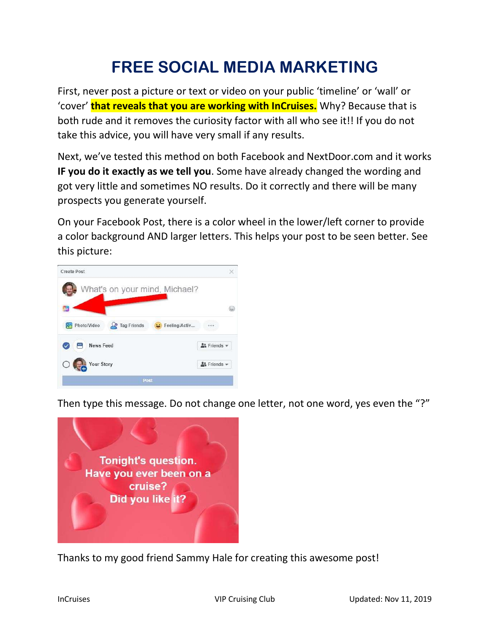## FREE SOCIAL MEDIA MARKETING

First, never post a picture or text or video on your public 'timeline' or 'wall' or 'cover' **that reveals that you are working with InCruises.** Why? Because that is both rude and it removes the curiosity factor with all who see it!! If you do not take this advice, you will have very small if any results.

Next, we've tested this method on both Facebook and NextDoor.com and it works IF you do it exactly as we tell you. Some have already changed the wording and got very little and sometimes NO results. Do it correctly and there will be many prospects you generate yourself.

On your Facebook Post, there is a color wheel in the lower/left corner to provide a color background AND larger letters. This helps your post to be seen better. See this picture:



Then type this message. Do not change one letter, not one word, yes even the "?"



Thanks to my good friend Sammy Hale for creating this awesome post!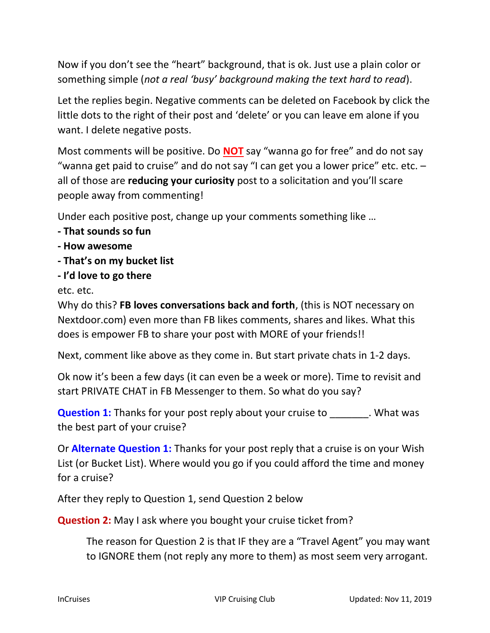Now if you don't see the "heart" background, that is ok. Just use a plain color or something simple (not a real 'busy' background making the text hard to read).

Let the replies begin. Negative comments can be deleted on Facebook by click the little dots to the right of their post and 'delete' or you can leave em alone if you want. I delete negative posts.

Most comments will be positive. Do **NOT** say "wanna go for free" and do not say "wanna get paid to cruise" and do not say "I can get you a lower price" etc. etc. – all of those are reducing your curiosity post to a solicitation and you'll scare people away from commenting!

Under each positive post, change up your comments something like …

- That sounds so fun
- How awesome
- That's on my bucket list
- I'd love to go there

etc. etc.

Why do this? FB loves conversations back and forth, (this is NOT necessary on Nextdoor.com) even more than FB likes comments, shares and likes. What this does is empower FB to share your post with MORE of your friends!!

Next, comment like above as they come in. But start private chats in 1-2 days.

Ok now it's been a few days (it can even be a week or more). Time to revisit and start PRIVATE CHAT in FB Messenger to them. So what do you say?

Question 1: Thanks for your post reply about your cruise to . What was the best part of your cruise?

Or **Alternate Question 1:** Thanks for your post reply that a cruise is on your Wish List (or Bucket List). Where would you go if you could afford the time and money for a cruise?

After they reply to Question 1, send Question 2 below

Question 2: May I ask where you bought your cruise ticket from?

The reason for Question 2 is that IF they are a "Travel Agent" you may want to IGNORE them (not reply any more to them) as most seem very arrogant.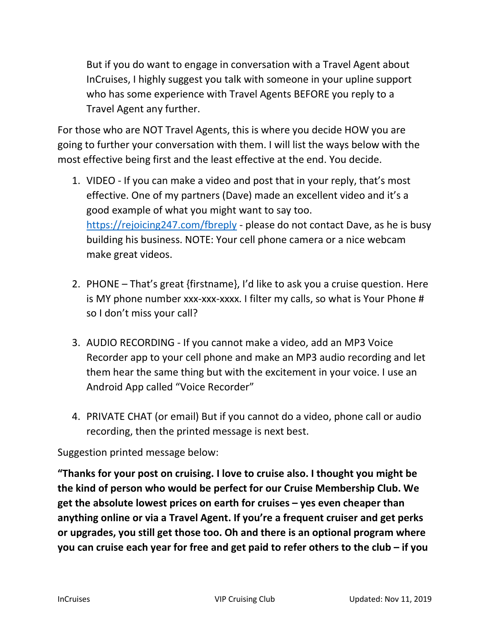But if you do want to engage in conversation with a Travel Agent about InCruises, I highly suggest you talk with someone in your upline support who has some experience with Travel Agents BEFORE you reply to a Travel Agent any further.

For those who are NOT Travel Agents, this is where you decide HOW you are going to further your conversation with them. I will list the ways below with the most effective being first and the least effective at the end. You decide.

- 1. VIDEO If you can make a video and post that in your reply, that's most effective. One of my partners (Dave) made an excellent video and it's a good example of what you might want to say too. https://rejoicing247.com/fbreply - please do not contact Dave, as he is busy building his business. NOTE: Your cell phone camera or a nice webcam make great videos.
- 2. PHONE That's great {firstname}, I'd like to ask you a cruise question. Here is MY phone number xxx-xxx-xxxx. I filter my calls, so what is Your Phone # so I don't miss your call?
- 3. AUDIO RECORDING If you cannot make a video, add an MP3 Voice Recorder app to your cell phone and make an MP3 audio recording and let them hear the same thing but with the excitement in your voice. I use an Android App called "Voice Recorder"
- 4. PRIVATE CHAT (or email) But if you cannot do a video, phone call or audio recording, then the printed message is next best.

## Suggestion printed message below:

"Thanks for your post on cruising. I love to cruise also. I thought you might be the kind of person who would be perfect for our Cruise Membership Club. We get the absolute lowest prices on earth for cruises – yes even cheaper than anything online or via a Travel Agent. If you're a frequent cruiser and get perks or upgrades, you still get those too. Oh and there is an optional program where you can cruise each year for free and get paid to refer others to the club – if you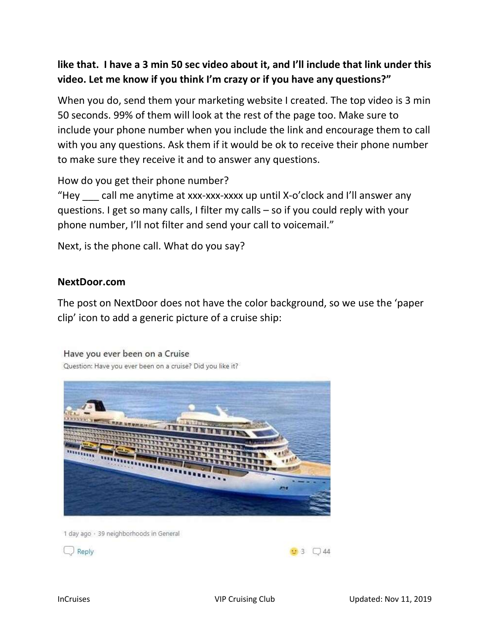## like that. I have a 3 min 50 sec video about it, and I'll include that link under this video. Let me know if you think I'm crazy or if you have any questions?"

When you do, send them your marketing website I created. The top video is 3 min 50 seconds. 99% of them will look at the rest of the page too. Make sure to include your phone number when you include the link and encourage them to call with you any questions. Ask them if it would be ok to receive their phone number to make sure they receive it and to answer any questions.

How do you get their phone number?

"Hey  $\equiv$  call me anytime at xxx-xxx-xxxx up until X-o'clock and I'll answer any questions. I get so many calls, I filter my calls – so if you could reply with your phone number, I'll not filter and send your call to voicemail."

Next, is the phone call. What do you say?

## NextDoor.com

The post on NextDoor does not have the color background, so we use the 'paper clip' icon to add a generic picture of a cruise ship:

Have you ever been on a Cruise Question: Have you ever been on a cruise? Did you like it?



1 day ago · 39 neighborhoods in General

 $\Box$  Reply